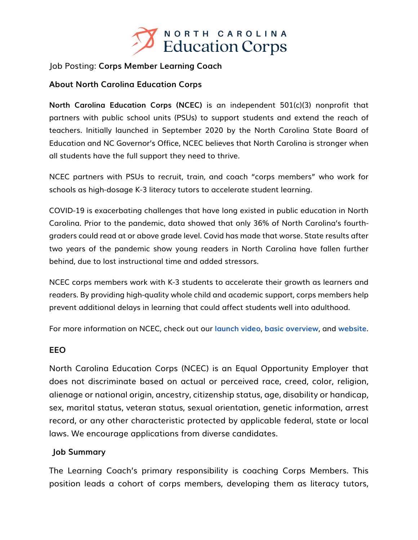

### Job Posting: **Corps Member Learning Coach**

## **About North Carolina Education Corps**

**North Carolina Education Corps (NCEC)** is an independent 501(c)(3) nonprofit that partners with public school units (PSUs) to support students and extend the reach of teachers. Initially launched in September 2020 by the North Carolina State Board of Education and NC Governor's Office, NCEC believes that North Carolina is stronger when all students have the full support they need to thrive.

NCEC partners with PSUs to recruit, train, and coach "corps members" who work for schools as high-dosage K-3 literacy tutors to accelerate student learning.

COVID-19 is exacerbating challenges that have long existed in public education in North Carolina. Prior to the pandemic, data showed that only 36% of North Carolina's fourthgraders could read at or above grade level. Covid has made that worse. State results after two years of the pandemic show young readers in North Carolina have fallen further behind, due to lost instructional time and added stressors.

NCEC corps members work with K-3 students to accelerate their growth as learners and readers. By providing high-quality whole child and academic support, corps members help prevent additional delays in learning that could affect students well into adulthood.

For more information on NCEC, check out our **launch video**, **basic overview**, and **website**.

### **EEO**

North Carolina Education Corps (NCEC) is an Equal Opportunity Employer that does not discriminate based on actual or perceived race, creed, color, religion, alienage or national origin, ancestry, citizenship status, age, disability or handicap, sex, marital status, veteran status, sexual orientation, genetic information, arrest record, or any other characteristic protected by applicable federal, state or local laws. We encourage applications from diverse candidates.

### **Job Summary**

The Learning Coach's primary responsibility is coaching Corps Members. This position leads a cohort of corps members, developing them as literacy tutors,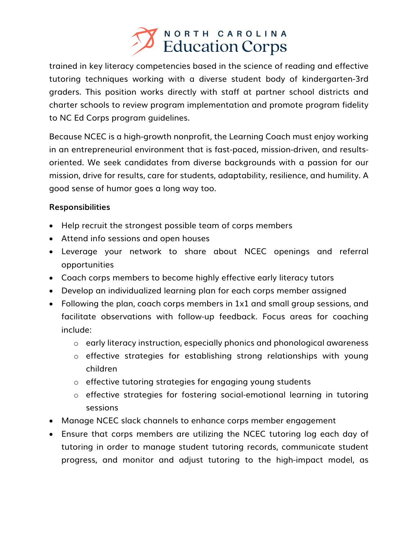

trained in key literacy competencies based in the science of reading and effective tutoring techniques working with a diverse student body of kindergarten-3rd graders. This position works directly with staff at partner school districts and charter schools to review program implementation and promote program fidelity to NC Ed Corps program guidelines.

Because NCEC is a high-growth nonprofit, the Learning Coach must enjoy working in an entrepreneurial environment that is fast-paced, mission-driven, and resultsoriented. We seek candidates from diverse backgrounds with a passion for our mission, drive for results, care for students, adaptability, resilience, and humility. A good sense of humor goes a long way too.

# **Responsibilities**

- Help recruit the strongest possible team of corps members
- Attend info sessions and open houses
- Leverage your network to share about NCEC openings and referral opportunities
- Coach corps members to become highly effective early literacy tutors
- Develop an individualized learning plan for each corps member assigned
- Following the plan, coach corps members in 1x1 and small group sessions, and facilitate observations with follow-up feedback. Focus areas for coaching include:
	- o early literacy instruction, especially phonics and phonological awareness
	- o effective strategies for establishing strong relationships with young children
	- o effective tutoring strategies for engaging young students
	- o effective strategies for fostering social-emotional learning in tutoring sessions
- Manage NCEC slack channels to enhance corps member engagement
- Ensure that corps members are utilizing the NCEC tutoring log each day of tutoring in order to manage student tutoring records, communicate student progress, and monitor and adjust tutoring to the high-impact model, as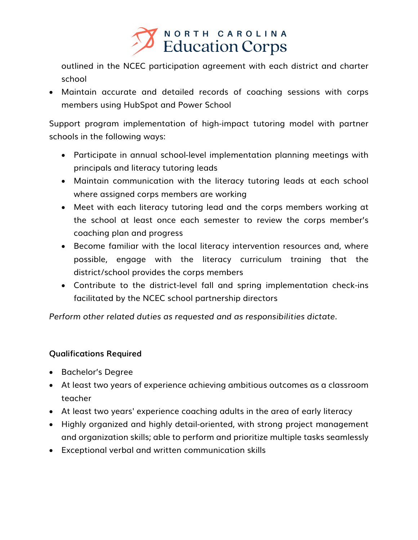

outlined in the NCEC participation agreement with each district and charter school

• Maintain accurate and detailed records of coaching sessions with corps members using HubSpot and Power School

Support program implementation of high-impact tutoring model with partner schools in the following ways:

- Participate in annual school-level implementation planning meetings with principals and literacy tutoring leads
- Maintain communication with the literacy tutoring leads at each school where assigned corps members are working
- Meet with each literacy tutoring lead and the corps members working at the school at least once each semester to review the corps member's coaching plan and progress
- Become familiar with the local literacy intervention resources and, where possible, engage with the literacy curriculum training that the district/school provides the corps members
- Contribute to the district-level fall and spring implementation check-ins facilitated by the NCEC school partnership directors

*Perform other related duties as requested and as responsibilities dictate.* 

# **Qualifications Required**

- Bachelor's Degree
- At least two years of experience achieving ambitious outcomes as a classroom teacher
- At least two years' experience coaching adults in the area of early literacy
- Highly organized and highly detail-oriented, with strong project management and organization skills; able to perform and prioritize multiple tasks seamlessly
- Exceptional verbal and written communication skills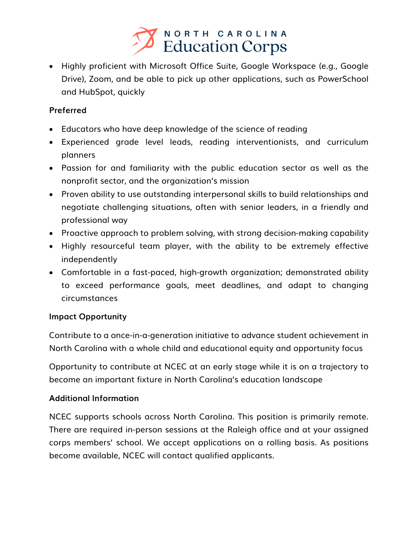

• Highly proficient with Microsoft Office Suite, Google Workspace (e.g., Google Drive), Zoom, and be able to pick up other applications, such as PowerSchool and HubSpot, quickly

# **Preferred**

- Educators who have deep knowledge of the science of reading
- Experienced grade level leads, reading interventionists, and curriculum planners
- Passion for and familiarity with the public education sector as well as the nonprofit sector, and the organization's mission
- Proven ability to use outstanding interpersonal skills to build relationships and negotiate challenging situations, often with senior leaders, in a friendly and professional way
- Proactive approach to problem solving, with strong decision-making capability
- Highly resourceful team player, with the ability to be extremely effective independently
- Comfortable in a fast-paced, high-growth organization; demonstrated ability to exceed performance goals, meet deadlines, and adapt to changing circumstances

# **Impact Opportunity**

Contribute to a once-in-a-generation initiative to advance student achievement in North Carolina with a whole child and educational equity and opportunity focus

Opportunity to contribute at NCEC at an early stage while it is on a trajectory to become an important fixture in North Carolina's education landscape

# **Additional Information**

NCEC supports schools across North Carolina. This position is primarily remote. There are required in-person sessions at the Raleigh office and at your assigned corps members' school. We accept applications on a rolling basis. As positions become available, NCEC will contact qualified applicants.